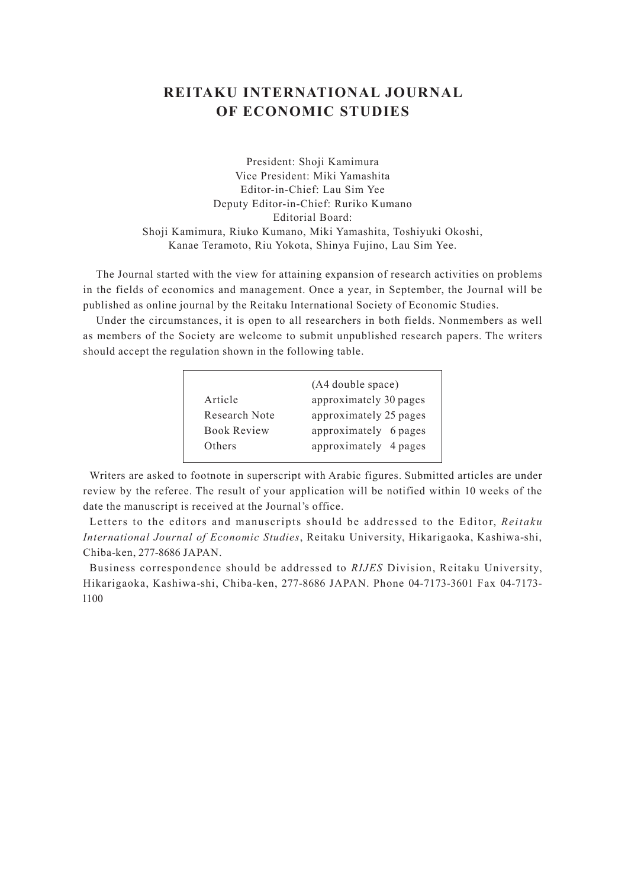## **REITAKU INTERNATIONAL JOURNAL OF ECONOMIC STUDIES**

President: Shoji Kamimura Vice President: Miki Yamashita Editor-in-Chief: Lau Sim Yee Deputy Editor-in-Chief: Ruriko Kumano Editorial Board: Shoji Kamimura, Riuko Kumano, Miki Yamashita, Toshiyuki Okoshi, Kanae Teramoto, Riu Yokota, Shinya Fujino, Lau Sim Yee.

The Journal started with the view for attaining expansion of research activities on problems in the fields of economics and management. Once a year, in September, the Journal will be published as online journal by the Reitaku International Society of Economic Studies.

Under the circumstances, it is open to all researchers in both fields. Nonmembers as well as members of the Society are welcome to submit unpublished research papers. The writers should accept the regulation shown in the following table.

| Article<br>Research Note<br><b>Book Review</b> | (A4 double space)<br>approximately 30 pages<br>approximately 25 pages<br>approximately 6 pages |
|------------------------------------------------|------------------------------------------------------------------------------------------------|
| Others                                         | approximately 4 pages                                                                          |

Writers are asked to footnote in superscript with Arabic figures. Submitted articles are under review by the referee. The result of your application will be notified within 10 weeks of the date the manuscript is received at the Journal's office.

Letters to the editors and manuscripts should be addressed to the Editor, *Reitaku International Journal of Economic Studies*, Reitaku University, Hikarigaoka, Kashiwa-shi, Chiba-ken, 277-8686 JAPAN.

Business correspondence should be addressed to *RIJES* Division, Reitaku University, Hikarigaoka, Kashiwa-shi, Chiba-ken, 277-8686 JAPAN. Phone 04-7173-3601 Fax 04-7173 l100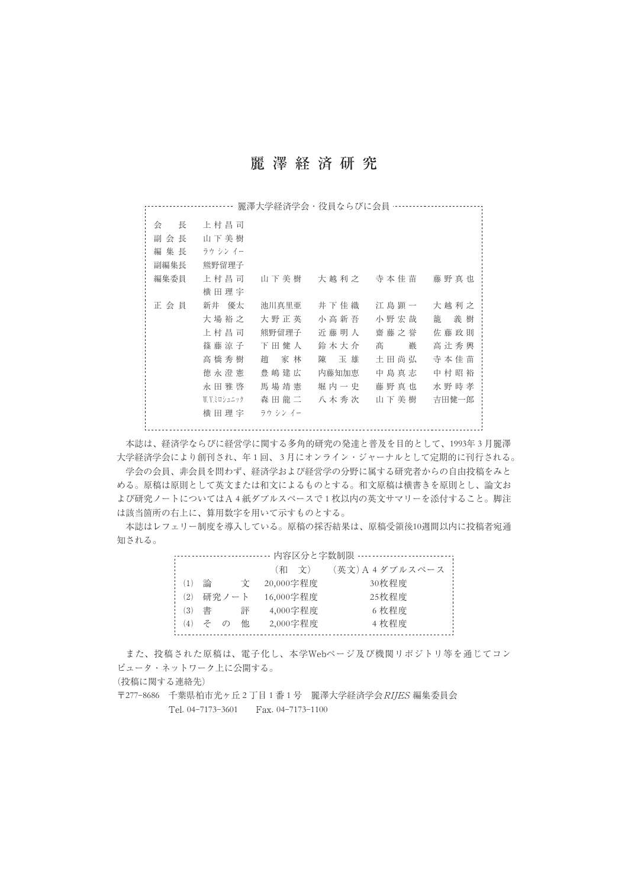## 麗澤経済研究

------------------------ 麗澤大学経済学会・役員ならびに会員 ……………………………… 会 長 上村昌司 副会長 山下美樹 編集長 ラウシンイー 副編集長 熊野留理子 編集委員 上村昌司 山下美樹 大越利之 寺本佳苗 藤野真也 横田理宇 正会員 新井 優太 池川真里亜 井下佳織 江島顕一 大越利之 大場裕之 大野正英 小高新吾 小野宏哉 籠 義樹 上村昌司 熊野留理子 近藤明人 齋藤之誉 佐藤政則 篠藤涼子 下田健人 鈴木大介 髙 巌 高辻秀興 高橋秀樹 趙 家林 陳 玉雄 土田尚弘 寺本佳苗 徳永澄憲 豊嶋建広 内藤知加恵 中島真志 中村昭裕 永田雅啓 馬場靖憲 堀内一史 藤野真也 水野時孝 W. V.ミロシュニック 森田龍二 八木秀次 山下美樹 吉田健一郎 横田理宇 ラウ シン イー

本誌は、経済学ならびに経営学に関する多角的研究の発達と普及を目的として、1993年 3 月麗澤 大学経済学会により創刊され、年 1 回、 3 月にオンライン・ジャーナルとして定期的に刊行される。 学会の会員、非会員を問わず、経済学および経営学の分野に属する研究者からの自由投稿をみと める。原稿は原則として英文または和文によるものとする。和文原稿は横書きを原則とし、論文お よび研究ノートについてはA 4 紙ダブルスペースで 1 枚以内の英文サマリーを添付すること。脚注 は該当箇所の右上に、算用数字を用いて示すものとする。

本誌はレフェリー制度を導入している。原稿の採否結果は、原稿受領後10週間以内に投稿者宛通 知される。

| 内容区分と字数制限 - |          |   |           |                  |  |
|-------------|----------|---|-----------|------------------|--|
|             |          |   | (和文)      | (英文) A 4 ダブルスペース |  |
| 論           |          | Ÿ | 20,000字程度 | 30枚程度            |  |
|             |          |   | 16,000字程度 | 25枚程度            |  |
| 書           |          | 評 | 4,000字程度  | 6 枚程度            |  |
| ネ           | $\sigma$ | 他 | 2,000字程度  | 4枚程度             |  |
|             |          |   | 研究ノート     |                  |  |

また、投稿された原稿は、電子化し、本学Webページ及び機関リポジトリ等を通じてコン ピュータ・ネットワーク上に公開する。

(投稿に関する連絡先)

〒277-8686 千葉県柏市光ヶ丘 2 丁目 1 番 1 号 麗澤大学経済学会RIJES 編集委員会 Tel. 04-7173-3601 Fax. 04-7173-1100